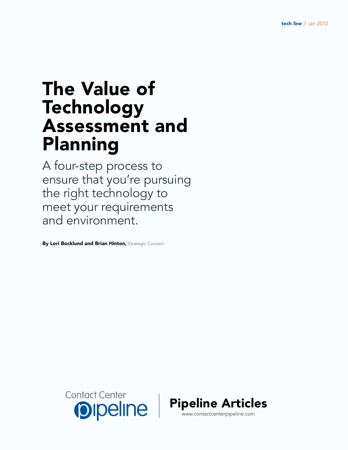# The Value of Technology Assessment and Planning

A four-step process to ensure that you're pursuing the right technology to meet your requirements and environment.

By Lori Bocklund and Brian Hinton, Strategic Contact



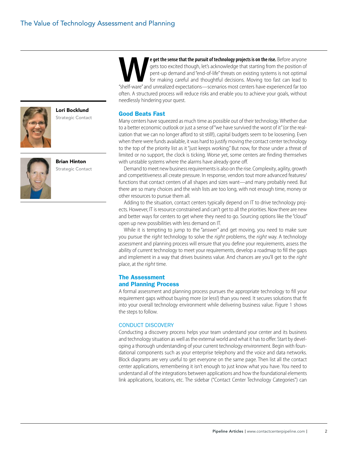

Lori Bocklund Strategic Contact



Brian Hinton Strategic Contact

**WE get the sense that the pursuit of technology projects is on the rise.** Before anyone gets too excited though, let's acknowledge that starting from the position of pent-up demand and "end-of-life" threats on existing sy gets too excited though, let's acknowledge that starting from the position of pent-up demand and "end-of-life" threats on existing systems is not optimal for making careful and thoughtful decisions. Moving too fast can lead to often. A structured process will reduce risks and enable you to achieve your goals, without needlessly hindering your quest.

#### Good Beats Fast

Many centers have squeezed as much time as possible out of their technology. Whether due to a better economic outlook or just a sense of "we have survived the worst of it" (or the realization that we can no longer afford to sit still!), capital budgets seem to be loosening. Even when there were funds available, it was hard to justify moving the contact center technology to the top of the priority list as it "just keeps working." But now, for those under a threat of limited or no support, the clock is ticking. Worse yet, some centers are finding themselves with unstable systems where the alarms have already gone off.

Demand to meet new business requirements is also on the rise. Complexity, agility, growth and competitiveness all create pressure. In response, vendors tout more advanced features/ functions that contact centers of all shapes and sizes want—and many probably need. But there are so many choices and the wish lists are too long, with not enough time, money or other resources to pursue them all.

Adding to the situation, contact centers typically depend on IT to drive technology projects. However, IT is resource constrained and can't get to all the priorities. Now there are new and better ways for centers to get where they need to go. Sourcing options like the "cloud" open up new possibilities with less demand on IT.

While it is tempting to jump to the "answer" and get moving, you need to make sure you pursue the *right* technology to solve the *right* problems, the *right* way. A technology assessment and planning process will ensure that you define your requirements, assess the ability of current technology to meet your requirements, develop a roadmap to fill the gaps and implement in a way that drives business value. And chances are you'll get to the *right* place, at the *right* time.

## The Assessment and Planning Process

A formal assessment and planning process pursues the appropriate technology to fill your requirement gaps without buying more (or less!) than you need. It secures solutions that fit into your overall technology environment while delivering business value. Figure 1 shows the steps to follow.

## CONDUCT DISCOVERY

Conducting a discovery process helps your team understand your center and its business and technology situation as well as the external world and what it has to offer. Start by developing a thorough understanding of your current technology environment. Begin with foundational components such as your enterprise telephony and the voice and data networks. Block diagrams are very useful to get everyone on the same page. Then list all the contact center applications, remembering it isn't enough to just know what you have. You need to understand all of the integrations between applications and how the foundational elements link applications, locations, etc. The sidebar ("Contact Center Technology Categories") can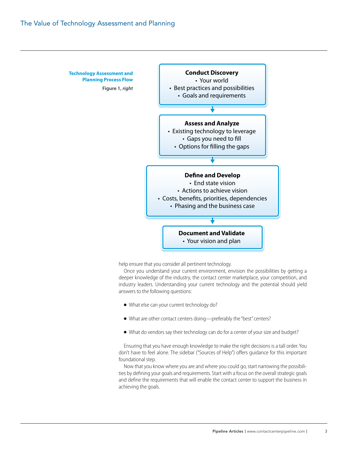

help ensure that you consider all pertinent technology.

Once you understand your current environment, envision the possibilities by getting a deeper knowledge of the industry, the contact center marketplace, your competition, and industry leaders. Understanding your current technology and the potential should yield answers to the following questions:

- What else can your current technology do?
- What are other contact centers doing—preferably the "best" centers?
- What do vendors say their technology can do for a center of your size and budget?

Ensuring that you have enough knowledge to make the right decisions is a tall order. You don't have to feel alone. The sidebar ("Sources of Help") offers guidance for this important foundational step.

Now that you know where you are and where you could go, start narrowing the possibilities by defining your goals and requirements. Start with a focus on the overall strategic goals and define the requirements that will enable the contact center to support the business in achieving the goals.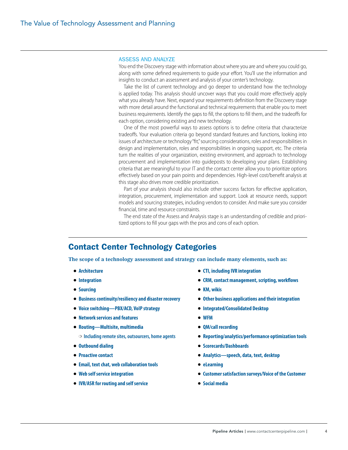#### Assess and Analyze

You end the Discovery stage with information about where you are and where you could go, along with some defined requirements to guide your effort. You'll use the information and insights to conduct an assessment and analysis of your center's technology.

Take the list of current technology and go deeper to understand how the technology is applied today. This analysis should uncover ways that you could more effectively apply what you already have. Next, expand your requirements definition from the Discovery stage with more detail around the functional and technical requirements that enable you to meet business requirements. Identify the gaps to fill, the options to fill them, and the tradeoffs for each option, considering existing and new technology.

One of the most powerful ways to assess options is to define criteria that characterize tradeoffs. Your evaluation criteria go beyond standard features and functions, looking into issues of architecture or technology "fit," sourcing considerations, roles and responsibilities in design and implementation, roles and responsibilities in ongoing support, etc. The criteria turn the realities of your organization, existing environment, and approach to technology procurement and implementation into guideposts to developing your plans. Establishing criteria that are meaningful to your IT and the contact center allow you to prioritize options effectively based on your pain points and dependencies. High-level cost/benefit analysis at this stage also drives more credible prioritization.

Part of your analysis should also include other success factors for effective application, integration, procurement, implementation and support. Look at resource needs, support models and sourcing strategies, including vendors to consider. And make sure you consider financial, time and resource constraints.

The end state of the Assess and Analysis stage is an understanding of credible and prioritized options to fill your gaps with the pros and cons of each option.

# Contact Center Technology Categories

**The scope of a technology assessment and strategy can include many elements, such as:**

- **Architecture**
- **Integration**
- **Sourcing**
- **Business continuity/resiliency and disaster recovery**
- **Voice switching—PBX/ACD, VoIP strategy**
- **Network services and features**
- **Routing—Multisite, multimedia**
	- ❍ **Including remote sites, outsourcers, home agents**
- **Outbound dialing**
- **Proactive contact**
- **Email, text chat, web collaboration tools**
- **Web self service integration**
- **IVR/ASR for routing and self service**
- **CTI, including IVR integration**
- **CRM, contact management, scripting, workflows**
- **KM, wikis**
- **Other business applications and their integration**
- **Integrated/Consolidated Desktop**
- **WFM**
- **QM/call recording**
- **Reporting/analytics/performance optimization tools**
- **Scorecards/Dashboards**
- **Analytics—speech, data, text, desktop**
- **eLearning**
- **Customer satisfaction surveys/Voice of the Customer**
- **Social media**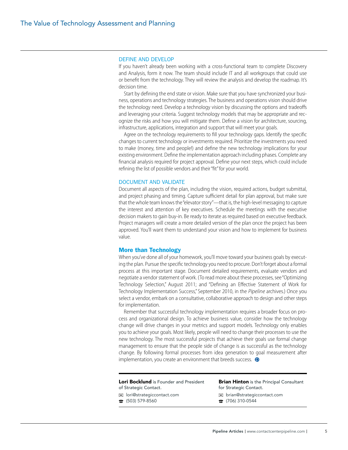#### Define and Develop

If you haven't already been working with a cross-functional team to complete Discovery and Analysis, form it now. The team should include IT and all workgroups that could use or benefit from the technology. They will review the analysis and develop the roadmap. It's decision time.

Start by defining the end state or vision. Make sure that you have synchronized your business, operations and technology strategies. The business and operations vision should drive the technology need. Develop a technology vision by discussing the options and tradeoffs and leveraging your criteria. Suggest technology models that may be appropriate and recognize the risks and how you will mitigate them. Define a vision for architecture, sourcing, infrastructure, applications, integration and support that will meet your goals.

Agree on the technology requirements to fill your technology gaps. Identify the specific changes to current technology or investments required. Prioritize the investments you need to make (money, time and people!) and define the new technology implications for your existing environment. Define the implementation approach including phases. Complete any financial analysis required for project approval. Define your next steps, which could include refining the list of possible vendors and their "fit" for your world.

#### Document and Validate

Document all aspects of the plan, including the vision, required actions, budget submittal, and project phasing and timing. Capture sufficient detail for plan approval, but make sure that the whole team knows the "elevator story"—that is, the high-level messaging to capture the interest and attention of key executives. Schedule the meetings with the executive decision makers to gain buy-in. Be ready to iterate as required based on executive feedback. Project managers will create a more detailed version of the plan once the project has been approved. You'll want them to understand your vision and how to implement for business value.

#### More than Technology

When you've done all of your homework, you'll move toward your business goals by executing the plan. Pursue the specific technology you need to procure. Don't forget about a formal process at this important stage. Document detailed requirements, evaluate vendors and negotiate a vendor statement of work. (To read more about these processes, see "Optimizing Technology Selection," August 2011; and "Defining an Effective Statement of Work for Technology Implementation Success," September 2010, in the *Pipeline* archives.) Once you select a vendor, embark on a consultative, collaborative approach to design and other steps for implementation.

Remember that successful technology implementation requires a broader focus on process and organizational design. To achieve business value, consider how the technology change will drive changes in your metrics and support models. Technology only enables you to achieve your goals. Most likely, people will need to change their processes to use the new technology. The most successful projects that achieve their goals use formal change management to ensure that the people side of change is as successful as the technology change. By following formal processes from idea generation to goal measurement after implementation, you create an environment that breeds success.  $\bullet$ 

| <b>Lori Bocklund</b> is Founder and President | <b>Brian Hinton</b> is the Principal Consultant |
|-----------------------------------------------|-------------------------------------------------|
| of Strategic Contact.                         | for Strategic Contact.                          |
| $\boxtimes$ lori@strategiccontact.com         | $\boxtimes$ brian@strategiccontact.com          |
| $\pi$ (503) 579-8560                          | $\hat{B}$ (706) 310-0544                        |
|                                               |                                                 |